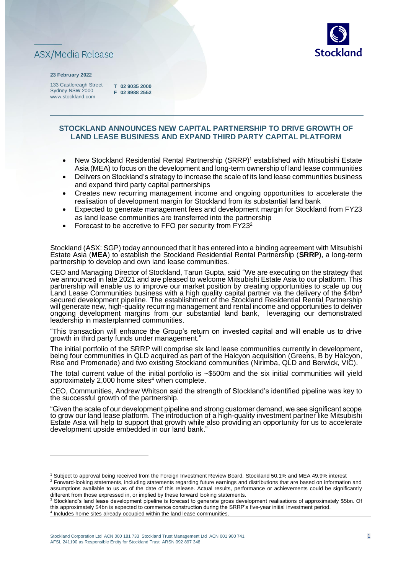



#### **23 February 2022**

133 Castlereagh Street Sydney NSW 2000 www.stockland.com

**T 02 9035 2000 F 02 8988 2552** 

# **STOCKLAND ANNOUNCES NEW CAPITAL PARTNERSHIP TO DRIVE GROWTH OF LAND LEASE BUSINESS AND EXPAND THIRD PARTY CAPITAL PLATFORM**

- New Stockland Residential Rental Partnership (SRRP)<sup>1</sup> established with Mitsubishi Estate Asia (MEA) to focus on the development and long-term ownership of land lease communities
- Delivers on Stockland's strategy to increase the scale of its land lease communities business and expand third party capital partnerships
- Creates new recurring management income and ongoing opportunities to accelerate the realisation of development margin for Stockland from its substantial land bank
- Expected to generate management fees and development margin for Stockland from FY23 as land lease communities are transferred into the partnership
- Forecast to be accretive to FFO per security from FY23<sup>2</sup>

Stockland (ASX: SGP) today announced that it has entered into a binding agreement with Mitsubishi Estate Asia (**MEA**) to establish the Stockland Residential Rental Partnership (**SRRP**), a long-term partnership to develop and own land lease communities.

CEO and Managing Director of Stockland, Tarun Gupta, said "We are executing on the strategy that we announced in late 2021 and are pleased to welcome Mitsubishi Estate Asia to our platform. This partnership will enable us to improve our market position by creating opportunities to scale up our  ${\sf Land}$  Lease Communities business with a high quality capital partner via the delivery of the \$4bn $^3$ secured development pipeline. The establishment of the Stockland Residential Rental Partnership will generate new, high-quality recurring management and rental income and opportunities to deliver ongoing development margins from our substantial land bank, leveraging our demonstrated leadership in masterplanned communities.

"This transaction will enhance the Group's return on invested capital and will enable us to drive growth in third party funds under management.'

The initial portfolio of the SRRP will comprise six land lease communities currently in development, being four communities in QLD acquired as part of the Halcyon acquisition (Greens, B by Halcyon, Rise and Promenade) and two existing Stockland communities (Nirimba, QLD and Berwick, VIC).

The total current value of the initial portfolio is ~\$500m and the six initial communities will yield approximately 2,000 home sites $4$  when complete.

CEO, Communities, Andrew Whitson said the strength of Stockland's identified pipeline was key to the successful growth of the partnership.

"Given the scale of our development pipeline and strong customer demand, we see significant scope to grow our land lease platform. The introduction of a high-quality investment partner like Mitsubishi Estate Asia will help to support that growth while also providing an opportunity for us to accelerate development upside embedded in our land bank."

<sup>1</sup> Subject to approval being received from the Foreign Investment Review Board. Stockland 50.1% and MEA 49.9% interest <sup>2</sup> Forward-looking statements, including statements regarding future earnings and distributions that are based on information and assumptions available to us as of the date of this release. Actual results, performance or achievements could be significantly different from those expressed in, or implied by these forward looking statements.

<sup>&</sup>lt;sup>3</sup> Stockland's land lease development pipeline is forecast to generate gross development realisations of approximately \$5bn. Of this approximately \$4bn is expected to commence construction during the SRRP's five-year initial investment period. <sup>4</sup> Includes home sites already occupied within the land lease communities.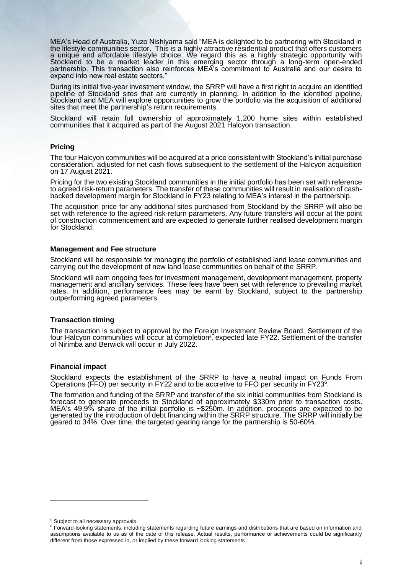MEA's Head of Australia, Yuzo Nishiyama said "MEA is delighted to be partnering with Stockland in the lifestyle communities sector. This is a highly attractive residential product that offers customers a unique and affordable lifestyle choice. We regard this as a highly strategic opportunity with Stockland to be a market leader in this emerging sector through a long-term open-ended partnership. This transaction also reinforces MEA's commitment to Australia and our desire to expand into new real estate sectors.

During its initial five-year investment window, the SRRP will have a first right to acquire an identified pipeline of Stockland sites that are currently in planning. In addition to the identified pipeline, Stockland and MEA will explore opportunities to grow the portfolio via the acquisition of additional sites that meet the partnership's return requirements.

Stockland will retain full ownership of approximately 1,200 home sites within established communities that it acquired as part of the August 2021 Halcyon transaction.

# **Pricing**

The four Halcyon communities will be acquired at a price consistent with Stockland's initial purchase consideration, adjusted for net cash flows subsequent to the settlement of the Halcyon acquisition on 17 August 2021.

Pricing for the two existing Stockland communities in the initial portfolio has been set with reference to agreed risk-return parameters. The transfer of these communities will result in realisation of cashbacked development margin for Stockland in FY23 relating to MEA's interest in the partnership.

The acquisition price for any additional sites purchased from Stockland by the SRRP will also be set with reference to the agreed risk-return parameters. Any future transfers will occur at the point of construction commencement and are expected to generate further realised development margin for Stockland.

#### **Management and Fee structure**

Stockland will be responsible for managing the portfolio of established land lease communities and carrying out the development of new land lease communities on behalf of the SRRP.

Stockland will earn ongoing fees for investment management, development management, property management and ancillary services. These fees have been set with reference to prevailing market rates. In addition, performance fees may be earnt by Stockland, subject to the partnership outperforming agreed parameters.

# **Transaction timing**

The transaction is subject to approval by the Foreign Investment Review Board. Settlement of the four Halcyon communities will occur at completion<sup>s</sup>, expected late FY22. Settlement of the transfer of Nirimba and Berwick will occur in July 2022.

#### **Financial impact**

Stockland expects the establishment of the SRRP to have a neutral impact on Funds From Operations (FFO) per security in FY22 and to be accretive to FFO per security in FY23<sup>6</sup>.

The formation and funding of the SRRP and transfer of the six initial communities from Stockland is forecast to generate proceeds to Stockland of approximately \$330m prior to transaction costs. MEA's 49.9% share of the initial portfolio is ~\$250m. In addition, proceeds are expected to be generated by the introduction of debt financing within the SRRP structure. The SRRP will initially be geared to 34%. Over time, the targeted gearing range for the partnership is 50-60%.

<sup>5</sup> Subject to all necessary approvals.

<sup>&</sup>lt;sup>6</sup> Forward-looking statements, including statements regarding future earnings and distributions that are based on information and assumptions available to us as of the date of this release. Actual results, performance or achievements could be significantly different from those expressed in, or implied by these forward looking statements.